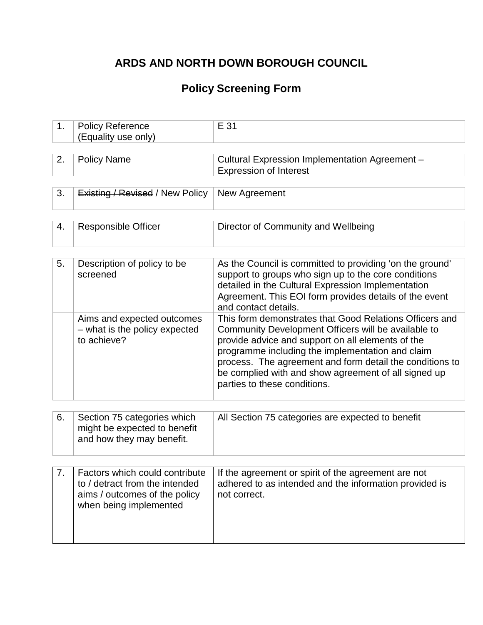# **ARDS AND NORTH DOWN BOROUGH COUNCIL**

## **Policy Screening Form**

| 1. | <b>Policy Reference</b><br>(Equality use only)                                                                              | E 31                                                                                                                                                                                                                                                                                                                                                                        |
|----|-----------------------------------------------------------------------------------------------------------------------------|-----------------------------------------------------------------------------------------------------------------------------------------------------------------------------------------------------------------------------------------------------------------------------------------------------------------------------------------------------------------------------|
|    |                                                                                                                             |                                                                                                                                                                                                                                                                                                                                                                             |
| 2. | <b>Policy Name</b>                                                                                                          | Cultural Expression Implementation Agreement -<br><b>Expression of Interest</b>                                                                                                                                                                                                                                                                                             |
|    |                                                                                                                             |                                                                                                                                                                                                                                                                                                                                                                             |
| 3. | <b>Existing / Revised / New Policy</b>                                                                                      | New Agreement                                                                                                                                                                                                                                                                                                                                                               |
|    |                                                                                                                             |                                                                                                                                                                                                                                                                                                                                                                             |
| 4. | <b>Responsible Officer</b>                                                                                                  | Director of Community and Wellbeing                                                                                                                                                                                                                                                                                                                                         |
|    |                                                                                                                             |                                                                                                                                                                                                                                                                                                                                                                             |
| 5. | Description of policy to be<br>screened                                                                                     | As the Council is committed to providing 'on the ground'<br>support to groups who sign up to the core conditions<br>detailed in the Cultural Expression Implementation<br>Agreement. This EOI form provides details of the event<br>and contact details.                                                                                                                    |
|    | Aims and expected outcomes<br>- what is the policy expected<br>to achieve?                                                  | This form demonstrates that Good Relations Officers and<br>Community Development Officers will be available to<br>provide advice and support on all elements of the<br>programme including the implementation and claim<br>process. The agreement and form detail the conditions to<br>be complied with and show agreement of all signed up<br>parties to these conditions. |
|    |                                                                                                                             |                                                                                                                                                                                                                                                                                                                                                                             |
| 6. | Section 75 categories which<br>might be expected to benefit<br>and how they may benefit.                                    | All Section 75 categories are expected to benefit                                                                                                                                                                                                                                                                                                                           |
|    |                                                                                                                             |                                                                                                                                                                                                                                                                                                                                                                             |
|    | Factors which could contribute<br>to / detract from the intended<br>aims / outcomes of the policy<br>when being implemented | If the agreement or spirit of the agreement are not<br>adhered to as intended and the information provided is<br>not correct.                                                                                                                                                                                                                                               |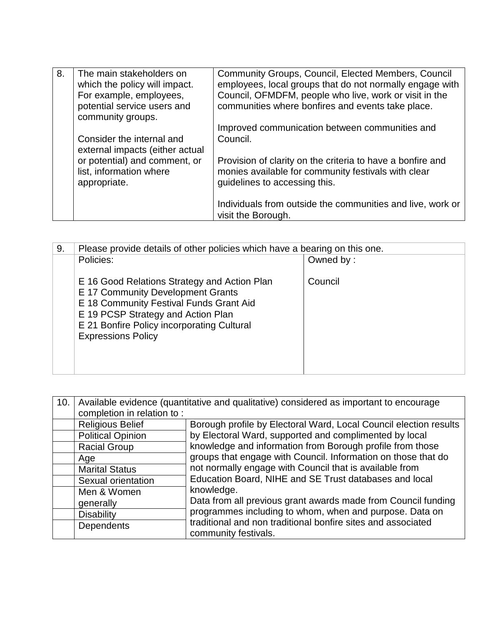| 8. | The main stakeholders on<br>which the policy will impact.<br>For example, employees,<br>potential service users and<br>community groups. | Community Groups, Council, Elected Members, Council<br>employees, local groups that do not normally engage with<br>Council, OFMDFM, people who live, work or visit in the<br>communities where bonfires and events take place. |
|----|------------------------------------------------------------------------------------------------------------------------------------------|--------------------------------------------------------------------------------------------------------------------------------------------------------------------------------------------------------------------------------|
|    | Consider the internal and<br>external impacts (either actual                                                                             | Improved communication between communities and<br>Council.                                                                                                                                                                     |
|    | or potential) and comment, or<br>list, information where<br>appropriate.                                                                 | Provision of clarity on the criteria to have a bonfire and<br>monies available for community festivals with clear<br>guidelines to accessing this.                                                                             |
|    |                                                                                                                                          | Individuals from outside the communities and live, work or<br>visit the Borough.                                                                                                                                               |

| 9. | Please provide details of other policies which have a bearing on this one.                                                                                                                                                                    |           |
|----|-----------------------------------------------------------------------------------------------------------------------------------------------------------------------------------------------------------------------------------------------|-----------|
|    | Policies:                                                                                                                                                                                                                                     | Owned by: |
|    | E 16 Good Relations Strategy and Action Plan<br>E 17 Community Development Grants<br>E 18 Community Festival Funds Grant Aid<br>E 19 PCSP Strategy and Action Plan<br>E 21 Bonfire Policy incorporating Cultural<br><b>Expressions Policy</b> | Council   |

| 10. | Available evidence (quantitative and qualitative) considered as important to encourage |                                                                                      |  |
|-----|----------------------------------------------------------------------------------------|--------------------------------------------------------------------------------------|--|
|     | completion in relation to:                                                             |                                                                                      |  |
|     | <b>Religious Belief</b>                                                                | Borough profile by Electoral Ward, Local Council election results                    |  |
|     | <b>Political Opinion</b>                                                               | by Electoral Ward, supported and complimented by local                               |  |
|     | <b>Racial Group</b>                                                                    | knowledge and information from Borough profile from those                            |  |
|     | Age                                                                                    | groups that engage with Council. Information on those that do                        |  |
|     | <b>Marital Status</b>                                                                  | not normally engage with Council that is available from                              |  |
|     | Sexual orientation                                                                     | Education Board, NIHE and SE Trust databases and local                               |  |
|     | Men & Women                                                                            | knowledge.                                                                           |  |
|     | generally                                                                              | Data from all previous grant awards made from Council funding                        |  |
|     | <b>Disability</b>                                                                      | programmes including to whom, when and purpose. Data on                              |  |
|     | <b>Dependents</b>                                                                      | traditional and non traditional bonfire sites and associated<br>community festivals. |  |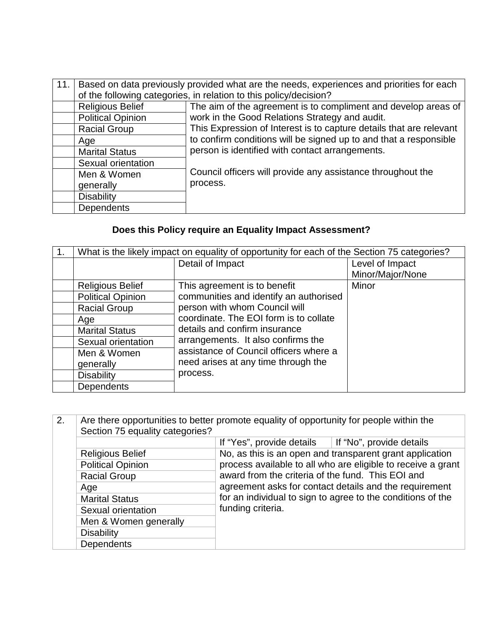| 11. | Based on data previously provided what are the needs, experiences and priorities for each |                                                                     |  |
|-----|-------------------------------------------------------------------------------------------|---------------------------------------------------------------------|--|
|     | of the following categories, in relation to this policy/decision?                         |                                                                     |  |
|     | <b>Religious Belief</b>                                                                   | The aim of the agreement is to compliment and develop areas of      |  |
|     | <b>Political Opinion</b>                                                                  | work in the Good Relations Strategy and audit.                      |  |
|     | <b>Racial Group</b>                                                                       | This Expression of Interest is to capture details that are relevant |  |
|     | Age                                                                                       | to confirm conditions will be signed up to and that a responsible   |  |
|     | <b>Marital Status</b>                                                                     | person is identified with contact arrangements.                     |  |
|     | Sexual orientation                                                                        |                                                                     |  |
|     | Men & Women                                                                               | Council officers will provide any assistance throughout the         |  |
|     | generally                                                                                 | process.                                                            |  |
|     | <b>Disability</b>                                                                         |                                                                     |  |
|     | <b>Dependents</b>                                                                         |                                                                     |  |

## **Does this Policy require an Equality Impact Assessment?**

| What is the likely impact on equality of opportunity for each of the Section 75 categories? |                                        |                  |
|---------------------------------------------------------------------------------------------|----------------------------------------|------------------|
| Detail of Impact                                                                            |                                        | Level of Impact  |
|                                                                                             |                                        | Minor/Major/None |
| <b>Religious Belief</b>                                                                     | This agreement is to benefit           | Minor            |
| <b>Political Opinion</b>                                                                    | communities and identify an authorised |                  |
| <b>Racial Group</b>                                                                         | person with whom Council will          |                  |
| Age                                                                                         | coordinate. The EOI form is to collate |                  |
| <b>Marital Status</b>                                                                       | details and confirm insurance          |                  |
| Sexual orientation                                                                          | arrangements. It also confirms the     |                  |
| Men & Women                                                                                 | assistance of Council officers where a |                  |
| generally                                                                                   | need arises at any time through the    |                  |
| <b>Disability</b>                                                                           | process.                               |                  |
| <b>Dependents</b>                                                                           |                                        |                  |

| 2. | Are there opportunities to better promote equality of opportunity for people within the<br>Section 75 equality categories? |                                                                                                                                                                                                 |                                                              |
|----|----------------------------------------------------------------------------------------------------------------------------|-------------------------------------------------------------------------------------------------------------------------------------------------------------------------------------------------|--------------------------------------------------------------|
|    |                                                                                                                            | If "Yes", provide details                                                                                                                                                                       | If "No", provide details                                     |
|    | <b>Religious Belief</b>                                                                                                    | No, as this is an open and transparent grant application                                                                                                                                        |                                                              |
|    | <b>Political Opinion</b>                                                                                                   |                                                                                                                                                                                                 | process available to all who are eligible to receive a grant |
|    | <b>Racial Group</b>                                                                                                        | award from the criteria of the fund. This EOI and<br>agreement asks for contact details and the requirement<br>for an individual to sign to agree to the conditions of the<br>funding criteria. |                                                              |
|    | Age                                                                                                                        |                                                                                                                                                                                                 |                                                              |
|    | <b>Marital Status</b>                                                                                                      |                                                                                                                                                                                                 |                                                              |
|    | Sexual orientation                                                                                                         |                                                                                                                                                                                                 |                                                              |
|    | Men & Women generally                                                                                                      |                                                                                                                                                                                                 |                                                              |
|    | <b>Disability</b>                                                                                                          |                                                                                                                                                                                                 |                                                              |
|    | <b>Dependents</b>                                                                                                          |                                                                                                                                                                                                 |                                                              |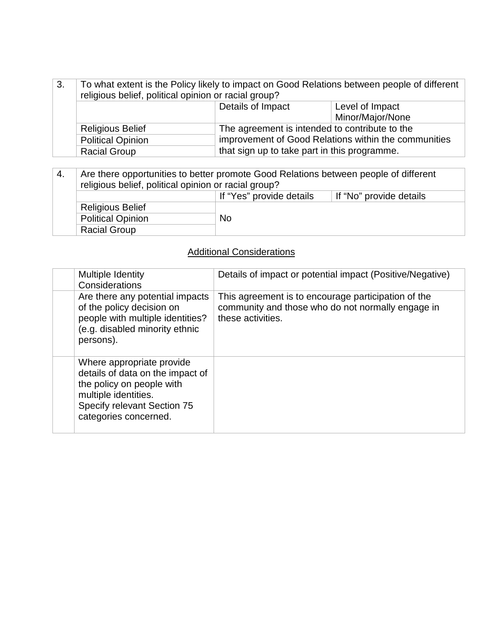| 3. | To what extent is the Policy likely to impact on Good Relations between people of different<br>religious belief, political opinion or racial group? |                                                      |                  |
|----|-----------------------------------------------------------------------------------------------------------------------------------------------------|------------------------------------------------------|------------------|
|    |                                                                                                                                                     | Details of Impact                                    | Level of Impact  |
|    |                                                                                                                                                     |                                                      | Minor/Major/None |
|    | <b>Religious Belief</b>                                                                                                                             | The agreement is intended to contribute to the       |                  |
|    | <b>Political Opinion</b>                                                                                                                            | improvement of Good Relations within the communities |                  |
|    | <b>Racial Group</b>                                                                                                                                 | that sign up to take part in this programme.         |                  |

| 4.                                    | Are there opportunities to better promote Good Relations between people of different<br>religious belief, political opinion or racial group? |  |  |  |
|---------------------------------------|----------------------------------------------------------------------------------------------------------------------------------------------|--|--|--|
|                                       | If "Yes" provide details<br>If "No" provide details                                                                                          |  |  |  |
|                                       | <b>Religious Belief</b>                                                                                                                      |  |  |  |
| <b>No</b><br><b>Political Opinion</b> |                                                                                                                                              |  |  |  |
|                                       | <b>Racial Group</b>                                                                                                                          |  |  |  |

### Additional Considerations

| Multiple Identity<br>Considerations                                                                                                                                        | Details of impact or potential impact (Positive/Negative)                                                                     |
|----------------------------------------------------------------------------------------------------------------------------------------------------------------------------|-------------------------------------------------------------------------------------------------------------------------------|
| Are there any potential impacts<br>of the policy decision on<br>people with multiple identities?<br>(e.g. disabled minority ethnic<br>persons).                            | This agreement is to encourage participation of the<br>community and those who do not normally engage in<br>these activities. |
| Where appropriate provide<br>details of data on the impact of<br>the policy on people with<br>multiple identities.<br>Specify relevant Section 75<br>categories concerned. |                                                                                                                               |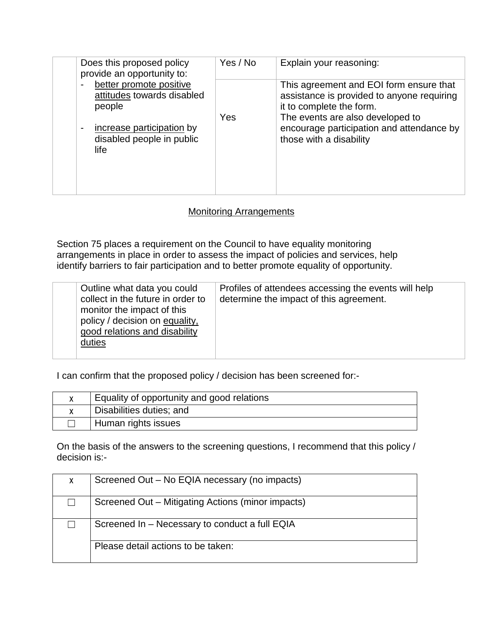| Does this proposed policy<br>provide an opportunity to:                                                                                                               | Yes / No | Explain your reasoning:                                                                                                                                                                                                       |
|-----------------------------------------------------------------------------------------------------------------------------------------------------------------------|----------|-------------------------------------------------------------------------------------------------------------------------------------------------------------------------------------------------------------------------------|
| better promote positive<br>$\blacksquare$<br>attitudes towards disabled<br>people<br>increase participation by<br>$\blacksquare$<br>disabled people in public<br>life | Yes      | This agreement and EOI form ensure that<br>assistance is provided to anyone requiring<br>it to complete the form.<br>The events are also developed to<br>encourage participation and attendance by<br>those with a disability |

#### Monitoring Arrangements

Section 75 places a requirement on the Council to have equality monitoring arrangements in place in order to assess the impact of policies and services, help identify barriers to fair participation and to better promote equality of opportunity.

| Outline what data you could<br>collect in the future in order to<br>monitor the impact of this<br>policy / decision on equality,<br>good relations and disability<br>duties | Profiles of attendees accessing the events will help<br>determine the impact of this agreement. |
|-----------------------------------------------------------------------------------------------------------------------------------------------------------------------------|-------------------------------------------------------------------------------------------------|
|-----------------------------------------------------------------------------------------------------------------------------------------------------------------------------|-------------------------------------------------------------------------------------------------|

I can confirm that the proposed policy / decision has been screened for:-

| Equality of opportunity and good relations |
|--------------------------------------------|
| Disabilities duties; and                   |
| Human rights issues                        |

On the basis of the answers to the screening questions, I recommend that this policy / decision is:-

| X | Screened Out - No EQIA necessary (no impacts)     |  |
|---|---------------------------------------------------|--|
|   | Screened Out - Mitigating Actions (minor impacts) |  |
|   | Screened In - Necessary to conduct a full EQIA    |  |
|   | Please detail actions to be taken:                |  |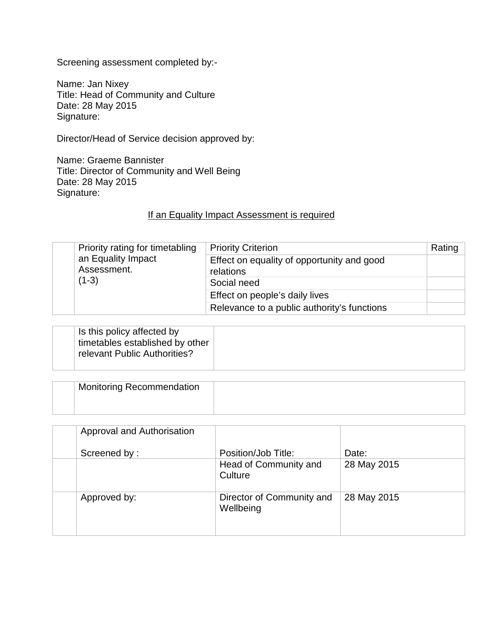Screening assessment completed by:-

Name: Jan Nixey Title: Head of Community and Culture Date: 28 May 2015 Signature:

Director/Head of Service decision approved by:

Name: Graeme Bannister Title: Director of Community and Well Being Date: 28 May 2015 Signature:

#### If an Equality Impact Assessment is required

|                        | Priority rating for timetabling | <b>Priority Criterion</b>                               | Rating |
|------------------------|---------------------------------|---------------------------------------------------------|--------|
| Assessment.<br>$(1-3)$ | an Equality Impact              | Effect on equality of opportunity and good<br>relations |        |
|                        |                                 | Social need                                             |        |
|                        |                                 | Effect on people's daily lives                          |        |
|                        |                                 | Relevance to a public authority's functions             |        |

| relevant Public Authorities? | Is this policy affected by<br>timetables established by other |  |
|------------------------------|---------------------------------------------------------------|--|
|------------------------------|---------------------------------------------------------------|--|

| <b>Monitoring Recommendation</b> |  |
|----------------------------------|--|
|                                  |  |

| Approval and Authorisation |                                        |             |
|----------------------------|----------------------------------------|-------------|
| Screened by:               | Position/Job Title:                    | Date:       |
|                            | Head of Community and<br>Culture       | 28 May 2015 |
| Approved by:               | Director of Community and<br>Wellbeing | 28 May 2015 |